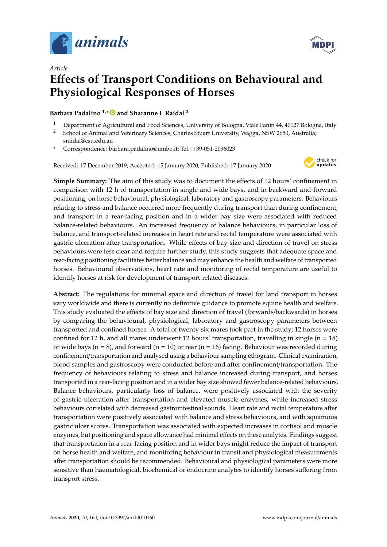

*Article*



# **E**ff**ects of Transport Conditions on Behavioural and Physiological Responses of Horses**

#### **Barbara Padalino 1,[\\*](https://orcid.org/0000-0002-7630-8285) and Sharanne L Raidal <sup>2</sup>**

- <sup>1</sup> Department of Agricultural and Food Sciences, University of Bologna, Viale Fanin 44, 40127 Bologna, Italy<br><sup>2</sup> School of Animal and Veterinary Sciences, Charles Stuart University Wagge, NSW 2650, Australia.
- <sup>2</sup> School of Animal and Veterinary Sciences, Charles Stuart University, Wagga, NSW 2650, Australia; sraidal@csu.edu.au
- **\*** Correspondence: barbara.padalino@unibo.it; Tel.: +39-051-2096023

Received: 17 December 2019; Accepted: 15 January 2020; Published: 17 January 2020



**Simple Summary:** The aim of this study was to document the effects of 12 hours' confinement in comparison with 12 h of transportation in single and wide bays, and in backward and forward positioning, on horse behavioural, physiological, laboratory and gastroscopy parameters. Behaviours relating to stress and balance occurred more frequently during transport than during confinement, and transport in a rear-facing position and in a wider bay size were associated with reduced balance-related behaviours. An increased frequency of balance behaviours, in particular loss of balance, and transport-related increases in heart rate and rectal temperature were associated with gastric ulceration after transportation. While effects of bay size and direction of travel on stress behaviours were less clear and require further study, this study suggests that adequate space and rear-facing positioning facilitates better balance and may enhance the health and welfare of transported horses. Behavioural observations, heart rate and monitoring of rectal temperature are useful to identify horses at risk for development of transport-related diseases.

**Abstract:** The regulations for minimal space and direction of travel for land transport in horses vary worldwide and there is currently no definitive guidance to promote equine health and welfare. This study evaluated the effects of bay size and direction of travel (forwards/backwards) in horses by comparing the behavioural, physiological, laboratory and gastroscopy parameters between transported and confined horses. A total of twenty-six mares took part in the study; 12 horses were confined for 12 h, and all mares underwent 12 hours' transportation, travelling in single  $(n = 18)$ or wide bays ( $n = 8$ ), and forward ( $n = 10$ ) or rear ( $n = 16$ ) facing. Behaviour was recorded during confinement/transportation and analysed using a behaviour sampling ethogram. Clinical examination, blood samples and gastroscopy were conducted before and after confinement/transportation. The frequency of behaviours relating to stress and balance increased during transport, and horses transported in a rear-facing position and in a wider bay size showed fewer balance-related behaviours. Balance behaviours, particularly loss of balance, were positively associated with the severity of gastric ulceration after transportation and elevated muscle enzymes, while increased stress behaviours correlated with decreased gastrointestinal sounds. Heart rate and rectal temperature after transportation were positively associated with balance and stress behaviours, and with squamous gastric ulcer scores. Transportation was associated with expected increases in cortisol and muscle enzymes, but positioning and space allowance had minimal effects on these analytes. Findings suggest that transportation in a rear-facing position and in wider bays might reduce the impact of transport on horse health and welfare, and monitoring behaviour in transit and physiological measurements after transportation should be recommended. Behavioural and physiological parameters were more sensitive than haematological, biochemical or endocrine analytes to identify horses suffering from transport stress.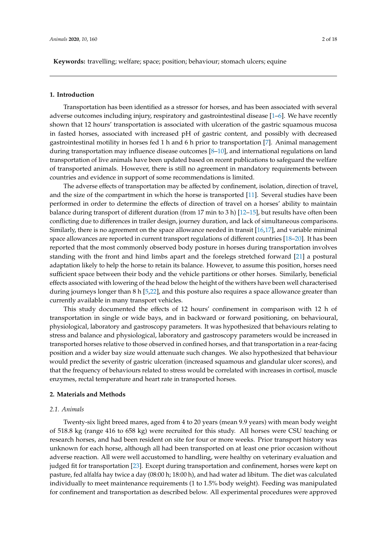**Keywords:** travelling; welfare; space; position; behaviour; stomach ulcers; equine

#### **1. Introduction**

Transportation has been identified as a stressor for horses, and has been associated with several adverse outcomes including injury, respiratory and gastrointestinal disease [\[1](#page-15-0)[–6\]](#page-15-1). We have recently shown that 12 hours' transportation is associated with ulceration of the gastric squamous mucosa in fasted horses, associated with increased pH of gastric content, and possibly with decreased gastrointestinal motility in horses fed 1 h and 6 h prior to transportation [\[7\]](#page-15-2). Animal management during transportation may influence disease outcomes [\[8–](#page-15-3)[10\]](#page-15-4), and international regulations on land transportation of live animals have been updated based on recent publications to safeguard the welfare of transported animals. However, there is still no agreement in mandatory requirements between countries and evidence in support of some recommendations is limited.

The adverse effects of transportation may be affected by confinement, isolation, direction of travel, and the size of the compartment in which the horse is transported [\[11\]](#page-15-5). Several studies have been performed in order to determine the effects of direction of travel on a horses' ability to maintain balance during transport of different duration (from 17 min to 3 h) [\[12–](#page-15-6)[15\]](#page-15-7), but results have often been conflicting due to differences in trailer design, journey duration, and lack of simultaneous comparisons. Similarly, there is no agreement on the space allowance needed in transit [\[16](#page-15-8)[,17\]](#page-15-9), and variable minimal space allowances are reported in current transport regulations of different countries [\[18–](#page-15-10)[20\]](#page-16-0). It has been reported that the most commonly observed body posture in horses during transportation involves standing with the front and hind limbs apart and the forelegs stretched forward [\[21\]](#page-16-1) a postural adaptation likely to help the horse to retain its balance. However, to assume this position, horses need sufficient space between their body and the vehicle partitions or other horses. Similarly, beneficial effects associated with lowering of the head below the height of the withers have been well characterised during journeys longer than 8 h [\[5](#page-15-11)[,22\]](#page-16-2), and this posture also requires a space allowance greater than currently available in many transport vehicles.

This study documented the effects of 12 hours' confinement in comparison with 12 h of transportation in single or wide bays, and in backward or forward positioning, on behavioural, physiological, laboratory and gastroscopy parameters. It was hypothesized that behaviours relating to stress and balance and physiological, laboratory and gastroscopy parameters would be increased in transported horses relative to those observed in confined horses, and that transportation in a rear-facing position and a wider bay size would attenuate such changes. We also hypothesized that behaviour would predict the severity of gastric ulceration (increased squamous and glandular ulcer scores), and that the frequency of behaviours related to stress would be correlated with increases in cortisol, muscle enzymes, rectal temperature and heart rate in transported horses.

#### **2. Materials and Methods**

#### *2.1. Animals*

Twenty-six light breed mares, aged from 4 to 20 years (mean 9.9 years) with mean body weight of 518.8 kg (range 416 to 658 kg) were recruited for this study. All horses were CSU teaching or research horses, and had been resident on site for four or more weeks. Prior transport history was unknown for each horse, although all had been transported on at least one prior occasion without adverse reaction. All were well accustomed to handling, were healthy on veterinary evaluation and judged fit for transportation [\[23\]](#page-16-3). Except during transportation and confinement, horses were kept on pasture, fed alfalfa hay twice a day (08:00 h; 18:00 h), and had water ad libitum. The diet was calculated individually to meet maintenance requirements (1 to 1.5% body weight). Feeding was manipulated for confinement and transportation as described below. All experimental procedures were approved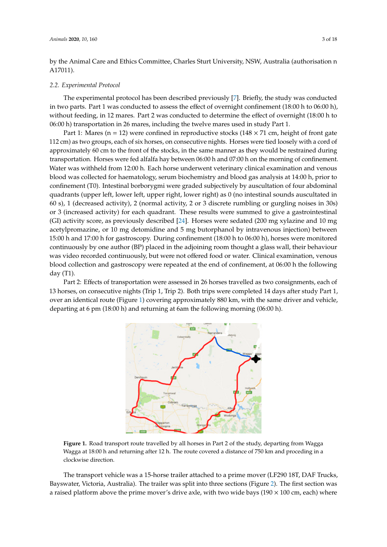by the Animal Care and Ethics Committee, Charles Sturt University, NSW, Australia (authorisation n A17011).

#### *2.2. Experimental Protocol*

The experimental protocol has been described previously [\[7\]](#page-15-2). Briefly, the study was conducted The experimental protocol has been described previously [7]. Briefly, the study was conducted in two parts. Part 1 was conducted to assess the effect of overnight confinement (18:00 h to 06:00 h), in two parts. Part 1 was conducted to assess the effect of overnight confinement (18:00 h to 06:00 h), without feeding, in 12 mares. Part 2 was conducted to determine the effect of overnight (18:00 h to 06:00 h) transportation in 26 mares, including the twelve mares used in study Part 1. 06:00 h) transportation in 26 mares, including the twelve mares used in study Part 1.

Part 1: Mares (n = 12) were confined in reproductive stocks (148  $\times$  71 cm, height of front gate 112 cm) as two groups, each of six horses, on consecutive nights. Horses were tied loosely with a cord of approximately 60 cm to the front of the stocks, in the same manner as they would be restrained during approximately 60 cm to the front of the stocks, in the same manner as they would be restrained during transportation. Horses were fed alfalfa hay between 06:00 h and 07:00 h on the morning of confinement. transportation. Horses were fed alfalfa hay between 06:00 h and 07:00 h on the morning of Water was withheld from 12:00 h. Each horse underwent veterinary clinical examination and venous<br>. blood was collected for haematology, serum biochemistry and blood gas analysis at 14:00 h, prior to confinement (T0). Intestinal borborygmi were graded subjectively by auscultation of four abdominal quadrants (upper left, lower left, upper right, lower right) as 0 (no intestinal sounds auscultated in 60 s), 1 (decreased activity), 2 (normal activity, 2 or 3 discrete rumbling or gurgling noises in 30s) or 3 (increased activity) for each quadrant. These results were summed to give a gastrointestinal (GI) activity score, as previously described [\[24\]](#page-16-4). Horses were sedated (200 mg xylazine and 10 mg acetylpromazine, or 10 mg detomidine and 5 mg butorphanol by intravenous injection) between 15:00 h and 17:00 h for gastroscopy. During confinement (18:00 h to 06:00 h), horses were monitored continuously by one author (BP) placed in the adjoining room thought a glass wall, their behaviour was video recorded continuously, but were not offered food or water. Clinical examination, venous blood collection and gastroscopy were repeated at the end of confinement, at 06:00 h the following day (T1). day (T1).  $\frac{1}{2}$ 

<span id="page-2-0"></span>Part 2: Effects of transportation were assessed in 26 horses travelled as two consignments, each of 13 horses, on consecutive nights (Trip 1, Trip 2). Both trips were completed 14 days after study Part 1, over an identical route (Figure [1\)](#page-2-0) covering approximately 880 km, with the same driver and vehicle, departing at 6 pm (18:00 h) and returning at 6am the following morning (06:00 h). departing at 6 pm (18:00 h) and returning at 6am the following morning (06:00 h). Part 2: Effects of transportation were assessed in 26 horses travelled as two consignments, each



**Figure 1.** Road transport route travelled by all horses in Part 2 of the study, departing from Wagga **Figure 1.** Road transport route travelled by all horses in Part 2 of the study, departing from Wagga Wagga at 18:00 h and returning after 12 h. The route covered a distance of 750 km and proceding in a Wagga at 18:00 h and returning after 12 h. The route covered a distance of 750 km and proceding in a clockwise direction. clockwise direction.

The transport vehicle was a 15-horse trailer attached to a prime mover (LF290 18T, DAF Trucks, The transport vehicle was a 15-horse trailer attached to a prime mover (LF290 18T, DAF Trucks, Bayswater, Victoria, Australia). The trailer was split into three sections (Fi[gu](#page-3-0)re 2). The first section Bayswater, Victoria, Australia). The trailer was split into three sections (Figure 2). The first section was a raised platform above the prime mover's drive axle, with two wide bays (190  $\times$  100 cm, each) where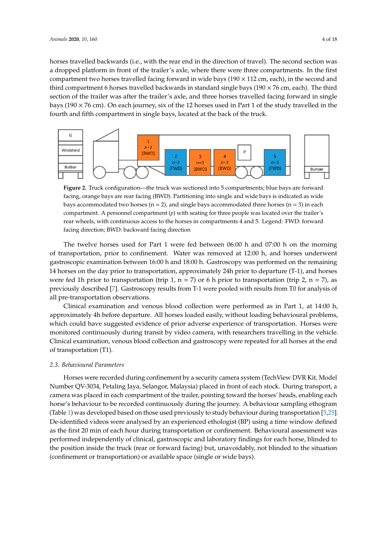horses travelled backwards (i.e., with the rear end in the direction of travel). The second section was a dropped platform in front of the trailer's axle, where there were three compartments. In the first compartment two horses travelled facing forward in wide bays ( $190 \times 112$  cm, each), in the second and third compartment 6 horses travelled backwards in standard single bays ( $190 \times 76$  cm, each). The third section of the trailer was after the trailer's axle, and three horses travelled facing forward in single bays (190  $\times$  76 cm). On each journey, six of the 12 horses used in Part 1 of the study travelled in the fourth and fifth compartment in single bays, located at the back of the truck.

<span id="page-3-0"></span>

facing, orange bays are rear facing (BWD). Partitioning into single and wide bays is indicated as wide bays accommodated two horses ( $n = 2$ ), and single bays accommodated three horses ( $n = 3$ ) in each compartment. A personnel compartment (*p*) with seating for three people was located over the trailer's rear wheels, with continuous access to the horses in compartments 4 and 5. Legend: FWD: forward facing direction; BWD: backward facing direction for  $\mathcal{L}$  for  $\mathcal{L}$  facing direction; BWD: backward facing direction; BWD: backward facing direction; BWD: backward facing direction; BWD: backward facing direction; BWD: backward facing direction; BWD: backward fac **Figure 2.** Truck configuration—the truck was sectioned into 5 compartments; blue bays are forward

of transportation, prior to confinement. Water was removed at 12:00 h, and horses underwent  $t_{\rm r}$  transportation, prior to confine the confidence  $t_{\rm r}$  and  $t_{\rm r}$  and  $t_{\rm r}$  and  $t_{\rm r}$  and  $t_{\rm r}$  and  $t_{\rm r}$  are moved at the second gastroscopic examination between 16:00 h and 18:00 h. Gastroscopy was performed on the remaining gastroscopic examination between 16:00 h and 18:00 h. Gastroscopy was performed on the remaining 14 horses on the day prior to transportation, approximately 24h prior to departure (T-1), and horses 14 horses on the day prior to transportation, approximately 24h prior to departure (T-1), and horses were fed 1h prior to transportation (trip 1,  $n = 7$ ) or 6 h prior to transportation (trip 2,  $n = 7$ ), as previously described [7]. Gastroscopy results from T-1 were pooled with results from T0 for analysis previously described [\[7\]](#page-15-2). Gastroscopy results from T-1 were pooled with results from T0 for analysis of all pre-transportation observations. The twelve horses used for Part 1 were fed between 06:00 h and 07:00 h on the morning

Clinical examination and venous blood collection were performed as in Part 1, at 14:00 h, Clinical examination and venous blood collection were performed as in Part 1, at 14:00 h, approximately 4h before departure. All horses loaded easily, without loading behavioural problems, approximately 4h before departure. All horses loaded easily, without loading behavioural problems, which could have suggested evidence of prior adverse experience of transportation. Horses were which could have suggested evidence of prior adverse experience of transportation. Horses were monitored continuously during transit by video camera, with researchers travelling in the vehicle. monitored continuously during transit by video camera, with researchers travelling in the vehicle. Clinical examination, venous blood collection and gastroscopy were repeated for all horses at the end Clinical examination, venous blood collection and gastroscopy were repeated for all horses at the end of transportation (T1). of transportation (T1).

### *2.3. Behavioural Parameters 2.3. Behavioural Parameters*

Horses were recorded during confinement by a security camera system (TechView DVR Kit, Horses were recorded during confinement by a security camera system (TechView DVR Kit, Model Number QV-3034, Petaling Jaya, Selangor, Malaysia) placed in front of each stock. During transport, a camera was placed in each compartment of the trailer, pointing toward the horses' heads, enabling each enable a horse procedure continuously during to be recorded continuous during the second continuously during t horse's behaviour to be recorded continuously during the journey. A behaviour sampling ethogram<br>
Text leads (Table [1\)](#page-4-0) was developed based on those used previously to study behaviour during transportation [\[5](#page-15-11)[,25\]](#page-16-5). De-identified videos were analysed by an experienced ethologist (BP) using a time window defined as the first 20 min of each hour during transportation or confinement. Behavioural assessment was performed independently of clinical, gastroscopic and laboratory findings for each horse, blinded to the position inside the truck (rear or forward facing) but, unavoidably, not blinded to the situation (confinement or transportation) or available space (single or wide bays).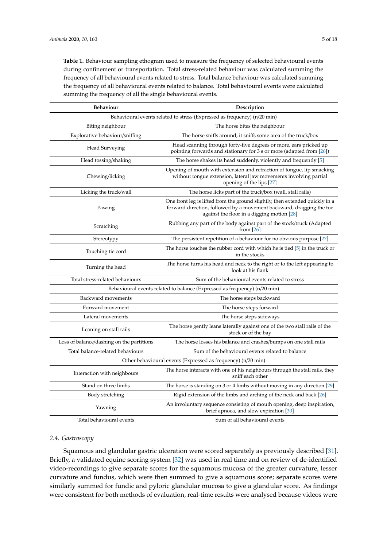<span id="page-4-0"></span>**Table 1.** Behaviour sampling ethogram used to measure the frequency of selected behavioural events during confinement or transportation. Total stress-related behaviour was calculated summing the frequency of all behavioural events related to stress. Total balance behaviour was calculated summing the frequency of all behavioural events related to balance. Total behavioural events were calculated summing the frequency of all the single behavioural events.

| <b>Behaviour</b><br>Description                              |                                                                                                                                                                                                    |  |  |  |
|--------------------------------------------------------------|----------------------------------------------------------------------------------------------------------------------------------------------------------------------------------------------------|--|--|--|
|                                                              | Behavioural events related to stress (Expressed as frequency) (n/20 min)                                                                                                                           |  |  |  |
| Biting neighbour                                             | The horse bites the neighbour                                                                                                                                                                      |  |  |  |
| Explorative behaviour/sniffing                               | The horse sniffs around, it sniffs some area of the truck/box                                                                                                                                      |  |  |  |
| Head Surveying                                               | Head scanning through forty-five degrees or more, ears pricked up<br>pointing forwards and stationary for 3 s or more (adapted from $[26]$ )                                                       |  |  |  |
| Head tossing/shaking                                         | The horse shakes its head suddenly, violently and frequently [5]                                                                                                                                   |  |  |  |
| Chewing/licking                                              | Opening of mouth with extension and retraction of tongue, lip smacking<br>without tongue extension, lateral jaw movements involving partial<br>opening of the lips [27]                            |  |  |  |
| Licking the truck/wall                                       | The horse licks part of the truck/box (wall, stall rails)                                                                                                                                          |  |  |  |
| Pawing                                                       | One front leg is lifted from the ground slightly, then extended quickly in a<br>forward direction, followed by a movement backward, dragging the toe<br>against the floor in a digging motion [28] |  |  |  |
| Scratching                                                   | Rubbing any part of the body against part of the stock/truck (Adapted<br>from $[26]$                                                                                                               |  |  |  |
| Stereotypy                                                   | The persistent repetition of a behaviour for no obvious purpose [27]                                                                                                                               |  |  |  |
| Touching tie cord                                            | The horse touches the rubber cord with which he is tied $[5]$ in the truck or<br>in the stocks                                                                                                     |  |  |  |
| Turning the head                                             | The horse turns his head and neck to the right or to the left appearing to<br>look at his flank                                                                                                    |  |  |  |
| Total stress-related behaviours                              | Sum of the behavioural events related to stress                                                                                                                                                    |  |  |  |
|                                                              | Behavioural events related to balance (Expressed as frequency) (n/20 min)                                                                                                                          |  |  |  |
| Backward movements                                           | The horse steps backward                                                                                                                                                                           |  |  |  |
| Forward movement                                             | The horse steps forward                                                                                                                                                                            |  |  |  |
| Lateral movements                                            | The horse steps sideways                                                                                                                                                                           |  |  |  |
| Leaning on stall rails                                       | The horse gently leans laterally against one of the two stall rails of the<br>stock or of the bay                                                                                                  |  |  |  |
| Loss of balance/dashing on the partitions                    | The horse losses his balance and crashes/bumps on one stall rails                                                                                                                                  |  |  |  |
| Total balance-related behaviours                             | Sum of the behavioural events related to balance                                                                                                                                                   |  |  |  |
| Other behavioural events (Expressed as frequency) (n/20 min) |                                                                                                                                                                                                    |  |  |  |
| Interaction with neighbours                                  | The horse interacts with one of his neighbours through the stall rails, they<br>sniff each other                                                                                                   |  |  |  |
| Stand on three limbs                                         | The horse is standing on 3 or 4 limbs without moving in any direction $[29]$                                                                                                                       |  |  |  |
| Body stretching                                              | Rigid extension of the limbs and arching of the neck and back $[26]$                                                                                                                               |  |  |  |
| Yawning                                                      | An involuntary sequence consisting of mouth opening, deep inspiration,<br>brief apnoea, and slow expiration [30]                                                                                   |  |  |  |
| Total behavioural events                                     | Sum of all behavioural events                                                                                                                                                                      |  |  |  |

#### *2.4. Gastroscopy*

Squamous and glandular gastric ulceration were scored separately as previously described [\[31\]](#page-16-11). Briefly, a validated equine scoring system [\[32\]](#page-16-12) was used in real time and on review of de-identified video-recordings to give separate scores for the squamous mucosa of the greater curvature, lesser curvature and fundus, which were then summed to give a squamous score; separate scores were similarly summed for fundic and pyloric glandular mucosa to give a glandular score. As findings were consistent for both methods of evaluation, real-time results were analysed because videos were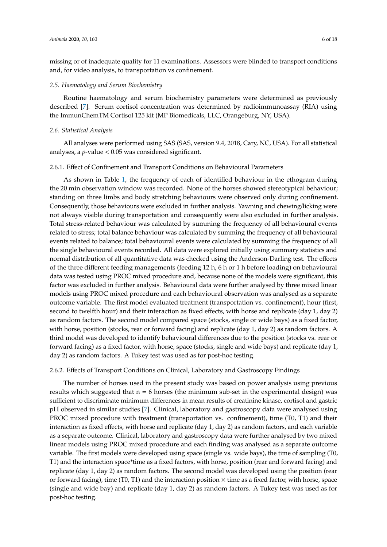missing or of inadequate quality for 11 examinations. Assessors were blinded to transport conditions and, for video analysis, to transportation vs confinement.

#### *2.5. Haematology and Serum Biochemistry*

Routine haematology and serum biochemistry parameters were determined as previously described [\[7\]](#page-15-2). Serum cortisol concentration was determined by radioimmunoassay (RIA) using the ImmunChemTM Cortisol 125 kit (MP Biomedicals, LLC, Orangeburg, NY, USA).

#### *2.6. Statistical Analysis*

All analyses were performed using SAS (SAS, version 9.4, 2018, Cary, NC, USA). For all statistical analyses, a *p*-value < 0.05 was considered significant.

#### 2.6.1. Effect of Confinement and Transport Conditions on Behavioural Parameters

As shown in Table [1,](#page-4-0) the frequency of each of identified behaviour in the ethogram during the 20 min observation window was recorded. None of the horses showed stereotypical behaviour; standing on three limbs and body stretching behaviours were observed only during confinement. Consequently, those behaviours were excluded in further analysis. Yawning and chewing/licking were not always visible during transportation and consequently were also excluded in further analysis. Total stress-related behaviour was calculated by summing the frequency of all behavioural events related to stress; total balance behaviour was calculated by summing the frequency of all behavioural events related to balance; total behavioural events were calculated by summing the frequency of all the single behavioural events recorded. All data were explored initially using summary statistics and normal distribution of all quantitative data was checked using the Anderson-Darling test. The effects of the three different feeding managements (feeding 12 h, 6 h or 1 h before loading) on behavioural data was tested using PROC mixed procedure and, because none of the models were significant, this factor was excluded in further analysis. Behavioural data were further analysed by three mixed linear models using PROC mixed procedure and each behavioural observation was analysed as a separate outcome variable. The first model evaluated treatment (transportation vs. confinement), hour (first, second to twelfth hour) and their interaction as fixed effects, with horse and replicate (day 1, day 2) as random factors. The second model compared space (stocks, single or wide bays) as a fixed factor, with horse, position (stocks, rear or forward facing) and replicate (day 1, day 2) as random factors. A third model was developed to identify behavioural differences due to the position (stocks vs. rear or forward facing) as a fixed factor, with horse, space (stocks, single and wide bays) and replicate (day 1, day 2) as random factors. A Tukey test was used as for post-hoc testing.

#### 2.6.2. Effects of Transport Conditions on Clinical, Laboratory and Gastroscopy Findings

The number of horses used in the present study was based on power analysis using previous results which suggested that  $n = 6$  horses (the minimum sub-set in the experimental design) was sufficient to discriminate minimum differences in mean results of creatinine kinase, cortisol and gastric pH observed in similar studies [\[7\]](#page-15-2). Clinical, laboratory and gastroscopy data were analysed using PROC mixed procedure with treatment (transportation vs. confinement), time (T0, T1) and their interaction as fixed effects, with horse and replicate (day 1, day 2) as random factors, and each variable as a separate outcome. Clinical, laboratory and gastroscopy data were further analysed by two mixed linear models using PROC mixed procedure and each finding was analysed as a separate outcome variable. The first models were developed using space (single vs. wide bays), the time of sampling (T0, T1) and the interaction space\*time as a fixed factors, with horse, position (rear and forward facing) and replicate (day 1, day 2) as random factors. The second model was developed using the position (rear or forward facing), time (T0, T1) and the interaction position  $\times$  time as a fixed factor, with horse, space (single and wide bay) and replicate (day 1, day 2) as random factors. A Tukey test was used as for post-hoc testing.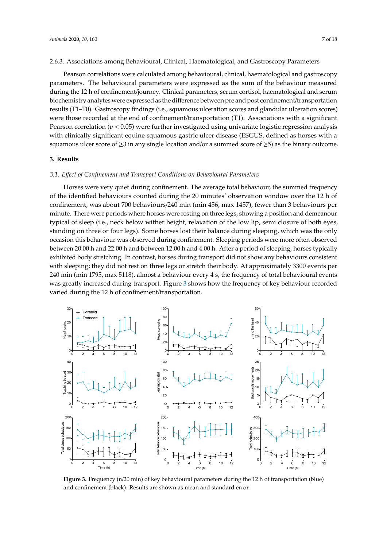#### 2.6.3. Associations among Behavioural, Clinical, Haematological, and Gastroscopy Parameters

Pearson correlations were calculated among behavioural, clinical, haematological and gastroscopy parameters. The behavioural parameters were expressed as the sum of the behaviour measured during the 12 h of confinement/journey. Clinical parameters, serum cortisol, haematological and serum biochemistry analytes were expressed as the difference between pre and post confinement/transportation results (T1–T0). Gastroscopy findings (i.e., squamous ulceration scores and glandular ulceration scores) were those recorded at the end of confinement/transportation  $(T1)$ . Associations with a significant  $\Gamma$ Pearson correlation ( $p < 0.05$ ) were further investigated using univariate logistic regression analysis with a squamous ulcer score of  $\frac{1}{2}$ with clinically significant equine squamous gastric ulcer disease (ESGUS, defined as horses with a squamous ulcer score of  $\geq$ 3 in any single location and/or a summed score of  $\geq$ 5) as the binary outcome.

## **3. Results 3. Results**

### *3.1. E*ff*ect of Confinement and Transport Conditions on Behavioural Parameters 3.1. Effect of Confinement and Transport Conditions on Behavioural Parameters*

Horses were very quiet during confinement. The average total behaviour, the summed frequency Horses were very quiet during confinement. The average total behaviour, the summed of the identified behaviours counted during the 20 minutes' observation window over the 12 h of confinement, was about 700 behaviours/240 min (min 456, max 1457), fewer than 3 behaviours per minute. There were periods where horses were resting on three legs, showing a position and demeanour typical of sleep (i.e., neck below wither height, relaxation of the low lip, semi closure of both eyes, standing on three or four legs). Some horses lost their balance during sleeping, which was the only occasion this behaviour was observed during confinement. Sleeping periods were more often observed between 20:00 h and 22:00 h and between 12:00 h and 4:00 h. After a period of sleeping, horses typically exhibited body stretching. In contrast, horses during transport did not show any behaviours consistent with sleeping; they did not rest on three legs or stretch their body. At approximately 3300 events per 240 min (min 1795, max 5118), almost a behaviour every 4 s, the frequency of total behavioural events was greatly increased during transport. Figure [3](#page-6-0) shows how the frequency of key behaviour recorded varied during the 12 h of confinement/transportation.

<span id="page-6-0"></span>

and confinement (black). Results are shown as mean and standard error. **Figure 3.** Frequency (n/20 min) of key behavioural parameters during the 12 h of transportation (blue)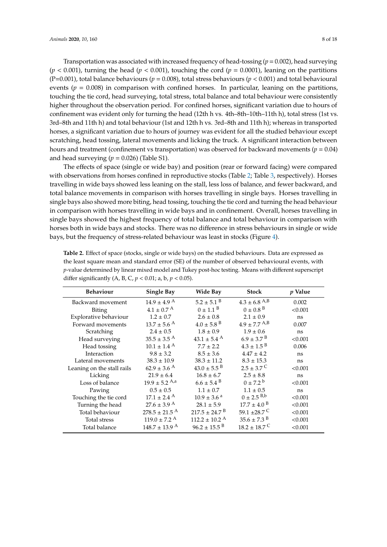Transportation was associated with increased frequency of head-tossing  $(p = 0.002)$ , head surveying  $(p < 0.001)$ , turning the head  $(p < 0.001)$ , touching the cord  $(p = 0.0001)$ , leaning on the partitions (P=0.001), total balance behaviours (*p* = 0.008), total stress behaviours (*p* < 0.001) and total behavioural events ( $p = 0.008$ ) in comparison with confined horses. In particular, leaning on the partitions, touching the tie cord, head surveying, total stress, total balance and total behaviour were consistently higher throughout the observation period. For confined horses, significant variation due to hours of confinement was evident only for turning the head (12th h vs. 4th–8th–10th–11th h), total stress (1st vs. 3rd–8th and 11th h) and total behaviour (1st and 12th h vs. 3rd–8th and 11th h); whereas in transported horses, a significant variation due to hours of journey was evident for all the studied behaviour except scratching, head tossing, lateral movements and licking the truck. A significant interaction between hours and treatment (confinement vs transportation) was observed for backward movements (*p* = 0.04) and head surveying  $(p = 0.026)$  (Table S1).

The effects of space (single or wide bay) and position (rear or forward facing) were compared with observations from horses confined in reproductive stocks (Table [2;](#page-7-0) Table [3,](#page-8-0) respectively). Horses travelling in wide bays showed less leaning on the stall, less loss of balance, and fewer backward, and total balance movements in comparison with horses travelling in single bays. Horses travelling in single bays also showed more biting, head tossing, touching the tie cord and turning the head behaviour in comparison with horses travelling in wide bays and in confinement. Overall, horses travelling in single bays showed the highest frequency of total balance and total behaviour in comparison with horses both in wide bays and stocks. There was no difference in stress behaviours in single or wide bays, but the frequency of stress-related behaviour was least in stocks (Figure [4\)](#page-8-1).

| <b>Behaviour</b>           | Single Bay                    | Wide Bay                      | <b>Stock</b>                 | <i>p</i> Value |
|----------------------------|-------------------------------|-------------------------------|------------------------------|----------------|
| Backward movement          | $14.9 \pm 4.9$ <sup>A</sup>   | $5.2 \pm 5.1$ <sup>B</sup>    | $4.3 \pm 6.8$ A,B            | 0.002          |
| Biting                     | $4.1 \pm 0.7$ <sup>A</sup>    | $0 \pm 1.1^{\text{B}}$        | $0 \pm 0.8$ <sup>B</sup>     | < 0.001        |
| Explorative behaviour      | $1.2 \pm 0.7$                 | $2.6 \pm 0.8$                 | $2.1 \pm 0.9$                | ns             |
| Forward movements          | $13.7 \pm 5.6$ <sup>A</sup>   | $4.0 \pm 5.8$ <sup>B</sup>    | $4.9 \pm 7.7$ A,B            | 0.007          |
| Scratching                 | $2.4 \pm 0.5$                 | $1.8 \pm 0.9$                 | $1.9 \pm 0.6$                | ns             |
| Head surveying             | $35.5 \pm 3.5$ <sup>A</sup>   | $43.1 \pm 5.4$ <sup>A</sup>   | $6.9 \pm 3.7$ <sup>B</sup>   | < 0.001        |
| Head tossing               | $10.1 \pm 1.4$ <sup>A</sup>   | $7.7 \pm 2.2$                 | $4.3 \pm 1.5$ <sup>B</sup>   | 0.006          |
| Interaction                | $9.8 \pm 3.2$                 | $8.5 \pm 3.6$                 | $4.47 \pm 4.2$               | ns             |
| Lateral movements          | $38.3 \pm 10.9$               | $38.3 \pm 11.2$               | $8.3 \pm 15.3$               | ns             |
| Leaning on the stall rails | $62.9 \pm 3.6$ <sup>A</sup>   | $43.0 \pm 5.5$ <sup>B</sup>   | $2.5 \pm 3.7^{\circ}$        | < 0.001        |
| Licking                    | $21.9 \pm 6.4$                | $16.8 \pm 6.7$                | $2.5 \pm 8.8$                | ns             |
| Loss of balance            | $19.9 \pm 5.2$ A,a            | $6.6 \pm 5.4$ <sup>B</sup>    | $0 + 7.2^{\circ}$            | < 0.001        |
| Pawing                     | $0.5 \pm 0.5$                 | $1.1 \pm 0.7$                 | $1.1 \pm 0.5$                | ns             |
| Touching the tie cord      | $17.1 \pm 2.4$ <sup>A</sup>   | $10.9 \pm 3.6$ <sup>a</sup>   | $0 \pm 2.5$ <sup>B,b</sup>   | < 0.001        |
| Turning the head           | $27.6 \pm 3.9$ <sup>A</sup>   | $28.1 \pm 5.9$                | $17.7 \pm 4.0$ <sup>B</sup>  | < 0.001        |
| Total behaviour            | $278.5 \pm 21.5$ <sup>A</sup> | $217.5 \pm 24.7$ <sup>B</sup> | 59.1 $\pm 28.7$ C            | < 0.001        |
| Total stress               | $119.0 \pm 7.2$ <sup>A</sup>  | $112.2 \pm 10.2$ <sup>A</sup> | $35.6 \pm 7.3$ <sup>B</sup>  | < 0.001        |
| Total balance              | $148.7 \pm 13.9$ <sup>A</sup> | $96.2 \pm 15.5$ <sup>B</sup>  | $18.2 \pm 18.7$ <sup>C</sup> | < 0.001        |

<span id="page-7-0"></span>**Table 2.** Effect of space (stocks, single or wide bays) on the studied behaviours. Data are expressed as the least square mean and standard error (SE) of the number of observed behavioural events, with *p*-value determined by linear mixed model and Tukey post-hoc testing. Means with different superscript differ significantly (A, B, C, *p* < 0.01; a, b, *p* < 0.05).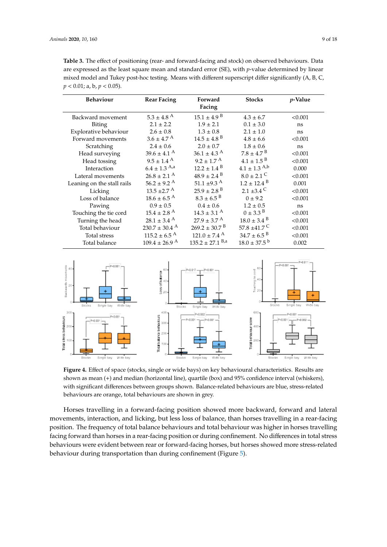<span id="page-8-0"></span>**Table 3.** The effect of positioning (rear- and forward-facing and stock) on observed behaviours. Data are expressed as the least square mean and standard error (SE), with *p*-value determined by linear mixed model and Tukey post-hoc testing. Means with different superscript differ significantly (A, B, C, *p* < 0.01; a, b, *p* < 0.05).

| $5.3 \pm 4.8$ <sup>A</sup><br>$15.1 \pm 4.9$ <sup>B</sup><br>$4.3 \pm 6.7$<br>Backward movement<br>$2.1 \pm 2.2$<br>$1.9 \pm 2.1$<br>$0.1 \pm 3.0$<br>Biting<br>$2.6 \pm 0.8$<br>$1.3 \pm 0.8$<br>Explorative behaviour<br>$2.1 \pm 1.0$<br>$3.6 \pm 4.7$ <sup>A</sup><br>$14.5 \pm 4.8$ <sup>B</sup><br>Forward movements<br>$4.8 \pm 6.6$<br>$2.4 \pm 0.6$<br>$2.0 \pm 0.7$<br>$1.8 \pm 0.6$<br><b>Scratching</b><br>$36.1 \pm 4.3$ <sup>A</sup><br>$7.8 \pm 4.7$ <sup>B</sup><br>$39.6 \pm 4.1$ <sup>A</sup><br>Head surveying<br>$9.5 \pm 1.4$ <sup>A</sup><br>$9.2 \pm 1.7$ <sup>A</sup><br>$4.1 \pm 1.5^{B}$<br>Head tossing<br>$6.4\pm1.3$ $^{\rm A,a}$<br>$4.1 \pm 1.3$ A,b<br>$12.2 \pm 1.4$ <sup>B</sup><br>Interaction | <i>p</i> -Value |
|-----------------------------------------------------------------------------------------------------------------------------------------------------------------------------------------------------------------------------------------------------------------------------------------------------------------------------------------------------------------------------------------------------------------------------------------------------------------------------------------------------------------------------------------------------------------------------------------------------------------------------------------------------------------------------------------------------------------------------------|-----------------|
|                                                                                                                                                                                                                                                                                                                                                                                                                                                                                                                                                                                                                                                                                                                                   | < 0.001         |
|                                                                                                                                                                                                                                                                                                                                                                                                                                                                                                                                                                                                                                                                                                                                   | ns              |
|                                                                                                                                                                                                                                                                                                                                                                                                                                                                                                                                                                                                                                                                                                                                   | ns              |
|                                                                                                                                                                                                                                                                                                                                                                                                                                                                                                                                                                                                                                                                                                                                   | < 0.001         |
|                                                                                                                                                                                                                                                                                                                                                                                                                                                                                                                                                                                                                                                                                                                                   | ns              |
|                                                                                                                                                                                                                                                                                                                                                                                                                                                                                                                                                                                                                                                                                                                                   | < 0.001         |
|                                                                                                                                                                                                                                                                                                                                                                                                                                                                                                                                                                                                                                                                                                                                   | < 0.001         |
|                                                                                                                                                                                                                                                                                                                                                                                                                                                                                                                                                                                                                                                                                                                                   | 0.000           |
| $8.0 \pm 2.1$ C<br>$26.8 \pm 2.1$ <sup>A</sup><br>$48.9 \pm 2.4$ <sup>B</sup><br>Lateral movements                                                                                                                                                                                                                                                                                                                                                                                                                                                                                                                                                                                                                                | < 0.001         |
| 51.1 $\pm$ 9.3 <sup>A</sup><br>$56.2 \pm 9.2$ <sup>A</sup><br>$1.2 \pm 12.4$ <sup>B</sup><br>Leaning on the stall rails                                                                                                                                                                                                                                                                                                                                                                                                                                                                                                                                                                                                           | 0.001           |
| $25.9 \pm 2.8$ <sup>B</sup><br>$13.5 \pm 2.7$ <sup>A</sup><br>2.1 $\pm 3.4$ C<br>Licking                                                                                                                                                                                                                                                                                                                                                                                                                                                                                                                                                                                                                                          | < 0.001         |
| $8.3 \pm 6.5$ <sup>B</sup><br>$18.6 \pm 6.5$ <sup>A</sup><br>$0 \pm 9.2$<br>Loss of balance                                                                                                                                                                                                                                                                                                                                                                                                                                                                                                                                                                                                                                       | < 0.001         |
| $0.9 \pm 0.5$<br>$0.4 \pm 0.6$<br>$1.2 \pm 0.5$<br>Pawing                                                                                                                                                                                                                                                                                                                                                                                                                                                                                                                                                                                                                                                                         | ns              |
| $15.4 \pm 2.8$ <sup>A</sup><br>$0 \pm 3.3^{\circ}$<br>$14.3 \pm 3.1$ <sup>A</sup><br>Touching the tie cord                                                                                                                                                                                                                                                                                                                                                                                                                                                                                                                                                                                                                        | < 0.001         |
| $27.9 \pm 3.7$ <sup>A</sup><br>$28.1 \pm 3.4$ <sup>A</sup><br>$18.0 \pm 3.4$ <sup>B</sup><br>Turning the head                                                                                                                                                                                                                                                                                                                                                                                                                                                                                                                                                                                                                     | < 0.001         |
| $269.2 \pm 30.7$ <sup>B</sup><br>$230.7 \pm 30.4$ <sup>A</sup><br>57.8 $\pm$ 41.7 <sup>C</sup><br>Total behaviour                                                                                                                                                                                                                                                                                                                                                                                                                                                                                                                                                                                                                 | < 0.001         |
| $34.7 \pm 6.5$ <sup>B</sup><br>$115.2 \pm 6.5$ <sup>A</sup><br>$121.0 \pm 7.4$ <sup>A</sup><br>Total stress                                                                                                                                                                                                                                                                                                                                                                                                                                                                                                                                                                                                                       | < 0.001         |
| $135.2 \pm 27.1$ B <sub>,a</sub><br>$18.0 \pm 37.5^{\mathrm{b}}$<br>$109.4 \pm 26.9$ <sup>A</sup><br>Total balance                                                                                                                                                                                                                                                                                                                                                                                                                                                                                                                                                                                                                | 0.002           |

<span id="page-8-1"></span>

shown as mean (+) and median (horizontal line), quartile (box) and 95% confidence interval (whiskers), with significant differences between groups shown. Balance-related behaviours are blue, stress-related behaviours are orange, total behaviours are shown in grey. **Figure 4.** Effect of space (stocks, single or wide bays) on key behavioural characteristics. Results are

movements, interaction, and licking, but less loss of balance, than horses travelling in a rear-facing position. The frequency of total balance behaviours and total behaviour was higher in horses travelling facing forward than horses in a rear-facing position or during confinement. No differences in total stress behaviours were evident between rear or forward-facing horses, but horses showed more stress-related behaviour during transportation than during confinement (Figure 5). Horses travelling in a forward-facing position showed more backward, forward and lateral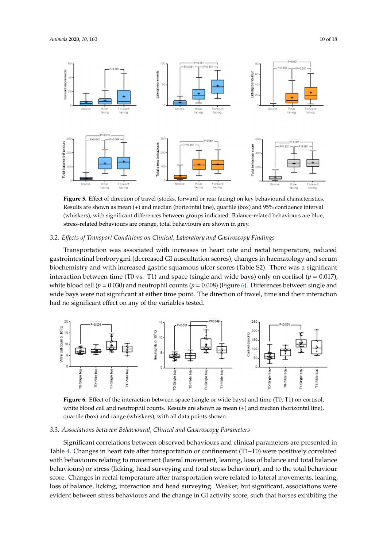<span id="page-9-0"></span>

Results are shown as mean (+) and median (horizontal line), quartile (box) and 95% confidence interval (whiskers), with significant differences between groups indicated. Balance-related behaviours are blue, stress-related behaviours are orange, total behaviours are shown in grey. **Figure 5.** Effect of direction of travel (stocks, forward or rear facing) on key behavioural characteristics.

## 3.2. Effects of Transport Conditions on Clinical, Laboratory and Gastroscopy Findings

Transportation was associated with increases in heart rate and rectal temperature, reduced biochemistry and with increased gastric squamous ulcer scores (Table S2). There was a significant interaction between time (T0 vs. T1) and space (single and wide bays) only on cortisol  $(p = 0.017)$ , white blood cell  $(p = 0.030)$  and neutrophil counts  $(p = 0.008)$  (Figure [6\)](#page-9-1). Differences between single and interaction between time (T0 vs. T1) and space (single and wide bays) only on cortisol (*p* = 0.017), wide bays were not significant at either time point. The direction of travel, time and their interaction and we significant at either time points the direction of the direction of the direction of the direction of the gastrointestinal borborygmi (decreased GI auscultation scores), changes in haematology and serum gastrointestinal borborygmi (decreased GI auscultation scores), changes in haematology and serum had no significant effect on any of the variables tested.

<span id="page-9-1"></span>

white blood cell and neutrophil counts. Results are shown as mean (+) and median (horizontal line), quartile (box) and range (whiskers), with all data points shown. **Figure 6.** Effect of the interaction between space (single or wide bays) and time (T0, T1) on cortisol,

#### **Figure 6.** Effect of the interaction between space (single or wide bays) and time (T0, T1) on cortisol,  $s$ blood cell and  $r$  and  $r$  and  $r$  and  $r$  and  $r$  are shown as  $r$  and  $r$  and  $r$ quartile (box) and range (whiskers), with all data points shown. *3.3. Associations between Behavioural, Clinical and Gastroscopy Parameters*

Significant correlations between observed behaviours and clinical parameters are presented in with behaviours relating to movement (lateral movement, leaning, loss of balance and total balance behaviours) or stress (licking, head surveying and total stress behaviour), and to the total behaviour score. Changes in rectal temperature after transportation were related to lateral movements, leaning, loss of balance, licking, interaction and head surveying. Weaker, but significant, associations were evident between stress behaviours and the change in GI activity score, such that horses exhibiting the Table 4. Changes in heart rate after transportation or confinement (T1–T0) were positively correlated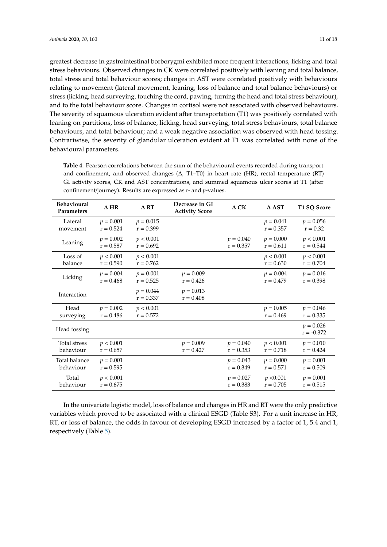greatest decrease in gastrointestinal borborygmi exhibited more frequent interactions, licking and total stress behaviours. Observed changes in CK were correlated positively with leaning and total balance, total stress and total behaviour scores; changes in AST were correlated positively with behaviours relating to movement (lateral movement, leaning, loss of balance and total balance behaviours) or stress (licking, head surveying, touching the cord, pawing, turning the head and total stress behaviour), and to the total behaviour score. Changes in cortisol were not associated with observed behaviours. The severity of squamous ulceration evident after transportation (T1) was positively correlated with leaning on partitions, loss of balance, licking, head surveying, total stress behaviours, total balance behaviours, and total behaviour; and a weak negative association was observed with head tossing. Contrariwise, the severity of glandular ulceration evident at T1 was correlated with none of the behavioural parameters.

| <b>Behavioural</b><br>Parameters | $\triangle$ HR             | $\triangle$ RT             | Decrease in GI<br><b>Activity Score</b> | $\Delta$ CK                | $\Delta$ AST               | T1 SQ Score                 |
|----------------------------------|----------------------------|----------------------------|-----------------------------------------|----------------------------|----------------------------|-----------------------------|
| Lateral<br>movement              | $p = 0.001$<br>$r = 0.524$ | $p = 0.015$<br>$r = 0.399$ |                                         |                            | $p = 0.041$<br>$r = 0.357$ | $p = 0.056$<br>$r = 0.32$   |
| Leaning                          | $p = 0.002$<br>$r = 0.587$ | p < 0.001<br>$r = 0.692$   |                                         | $p = 0.040$<br>$r = 0.357$ | $p = 0.000$<br>$r = 0.611$ | p < 0.001<br>$r = 0.544$    |
| Loss of<br>balance               | p < 0.001<br>$r = 0.590$   | p < 0.001<br>$r = 0.762$   |                                         |                            | p < 0.001<br>$r = 0.630$   | p < 0.001<br>$r = 0.704$    |
| Licking                          | $p = 0.004$<br>$r = 0.468$ | $p = 0.001$<br>$r = 0.525$ | $p = 0.009$<br>$r = 0.426$              |                            | $p = 0.004$<br>$r = 0.479$ | $p = 0.016$<br>$r = 0.398$  |
| Interaction                      |                            | $p = 0.044$<br>$r = 0.337$ | $p = 0.013$<br>$r = 0.408$              |                            |                            |                             |
| Head<br>surveying                | $p = 0.002$<br>$r = 0.486$ | p < 0.001<br>$r = 0.572$   |                                         |                            | $p = 0.005$<br>$r = 0.469$ | $p = 0.046$<br>$r = 0.335$  |
| Head tossing                     |                            |                            |                                         |                            |                            | $p = 0.026$<br>$r = -0.372$ |
| <b>Total stress</b><br>behaviour | p < 0.001<br>$r = 0.657$   |                            | $p = 0.009$<br>$r = 0.427$              | $p = 0.040$<br>$r = 0.353$ | p < 0.001<br>$r = 0.718$   | $p = 0.010$<br>$r = 0.424$  |
| Total balance<br>behaviour       | $p = 0.001$<br>$r = 0.595$ |                            |                                         | $p = 0.043$<br>$r = 0.349$ | $p = 0.000$<br>$r = 0.571$ | $p = 0.001$<br>$r = 0.509$  |
| Total<br>behaviour               | p < 0.001<br>$r = 0.675$   |                            |                                         | $p = 0.027$<br>$r = 0.383$ | p < 0.001<br>$r = 0.705$   | $p = 0.001$<br>$r = 0.515$  |

<span id="page-10-0"></span>**Table 4.** Pearson correlations between the sum of the behavioural events recorded during transport and confinement, and observed changes (∆, T1–T0) in heart rate (HR), rectal temperature (RT) GI activity scores, CK and AST concentrations, and summed squamous ulcer scores at T1 (after confinement/journey). Results are expressed as r- and *p*-values.

In the univariate logistic model, loss of balance and changes in HR and RT were the only predictive variables which proved to be associated with a clinical ESGD (Table S3). For a unit increase in HR, RT, or loss of balance, the odds in favour of developing ESGD increased by a factor of 1, 5.4 and 1, respectively (Table [5\)](#page-11-0).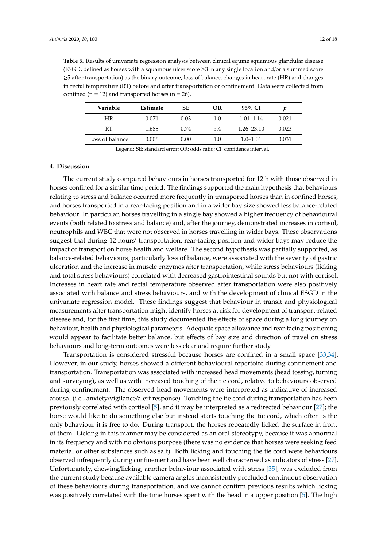<span id="page-11-0"></span>**Table 5.** Results of univariate regression analysis between clinical equine squamous glandular disease (ESGD, defined as horses with a squamous ulcer score ≥3 in any single location and/or a summed score ≥5 after transportation) as the binary outcome, loss of balance, changes in heart rate (HR) and changes in rectal temperature (RT) before and after transportation or confinement. Data were collected from confined ( $n = 12$ ) and transported horses ( $n = 26$ ).

| Variable        | Estimate | <b>SE</b> | OR  | 95% CI         |       |
|-----------------|----------|-----------|-----|----------------|-------|
| ΗR              | 0.071    | 0.03      | 1.0 | $1.01 - 1.14$  | 0.021 |
| RT              | 1.688    | 0.74      | 5.4 | $1.26 - 23.10$ | 0.023 |
| Loss of balance | 0.006    | 0.00      | 1.0 | $1.0 - 1.01$   | 0.031 |

Legend: SE: standard error; OR: odds ratio; CI: confidence interval.

#### **4. Discussion**

The current study compared behaviours in horses transported for 12 h with those observed in horses confined for a similar time period. The findings supported the main hypothesis that behaviours relating to stress and balance occurred more frequently in transported horses than in confined horses, and horses transported in a rear-facing position and in a wider bay size showed less balance-related behaviour. In particular, horses travelling in a single bay showed a higher frequency of behavioural events (both related to stress and balance) and, after the journey, demonstrated increases in cortisol, neutrophils and WBC that were not observed in horses travelling in wider bays. These observations suggest that during 12 hours' transportation, rear-facing position and wider bays may reduce the impact of transport on horse health and welfare. The second hypothesis was partially supported, as balance-related behaviours, particularly loss of balance, were associated with the severity of gastric ulceration and the increase in muscle enzymes after transportation, while stress behaviours (licking and total stress behaviours) correlated with decreased gastrointestinal sounds but not with cortisol. Increases in heart rate and rectal temperature observed after transportation were also positively associated with balance and stress behaviours, and with the development of clinical ESGD in the univariate regression model. These findings suggest that behaviour in transit and physiological measurements after transportation might identify horses at risk for development of transport-related disease and, for the first time, this study documented the effects of space during a long journey on behaviour, health and physiological parameters. Adequate space allowance and rear-facing positioning would appear to facilitate better balance, but effects of bay size and direction of travel on stress behaviours and long-term outcomes were less clear and require further study.

Transportation is considered stressful because horses are confined in a small space [\[33,](#page-16-13)[34\]](#page-16-14). However, in our study, horses showed a different behavioural repertoire during confinement and transportation. Transportation was associated with increased head movements (head tossing, turning and surveying), as well as with increased touching of the tie cord, relative to behaviours observed during confinement. The observed head movements were interpreted as indicative of increased arousal (i.e., anxiety/vigilance/alert response). Touching the tie cord during transportation has been previously correlated with cortisol [\[5\]](#page-15-11), and it may be interpreted as a redirected behaviour [\[27\]](#page-16-7); the horse would like to do something else but instead starts touching the tie cord, which often is the only behaviour it is free to do. During transport, the horses repeatedly licked the surface in front of them. Licking in this manner may be considered as an oral stereotypy, because it was abnormal in its frequency and with no obvious purpose (there was no evidence that horses were seeking feed material or other substances such as salt). Both licking and touching the tie cord were behaviours observed infrequently during confinement and have been well characterised as indicators of stress [\[27\]](#page-16-7). Unfortunately, chewing/licking, another behaviour associated with stress [\[35\]](#page-16-15), was excluded from the current study because available camera angles inconsistently precluded continuous observation of these behaviours during transportation, and we cannot confirm previous results which licking was positively correlated with the time horses spent with the head in a upper position [\[5\]](#page-15-11). The high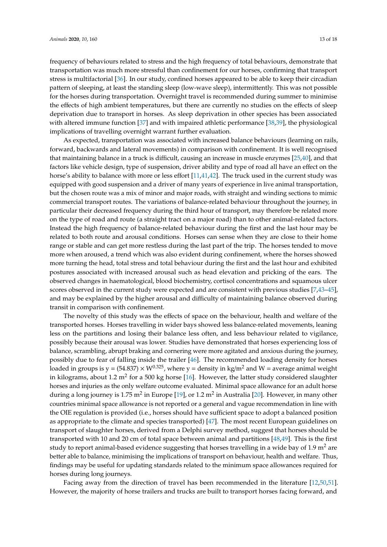frequency of behaviours related to stress and the high frequency of total behaviours, demonstrate that transportation was much more stressful than confinement for our horses, confirming that transport stress is multifactorial [\[36\]](#page-16-16). In our study, confined horses appeared to be able to keep their circadian pattern of sleeping, at least the standing sleep (low-wave sleep), intermittently. This was not possible for the horses during transportation. Overnight travel is recommended during summer to minimise the effects of high ambient temperatures, but there are currently no studies on the effects of sleep deprivation due to transport in horses. As sleep deprivation in other species has been associated with altered immune function [\[37\]](#page-16-17) and with impaired athletic performance [\[38](#page-16-18)[,39\]](#page-16-19), the physiological implications of travelling overnight warrant further evaluation.

As expected, transportation was associated with increased balance behaviours (learning on rails, forward, backwards and lateral movements) in comparison with confinement. It is well recognised that maintaining balance in a truck is difficult, causing an increase in muscle enzymes [\[25,](#page-16-5)[40\]](#page-16-20), and that factors like vehicle design, type of suspension, driver ability and type of road all have an effect on the horse's ability to balance with more or less effort [\[11](#page-15-5)[,41](#page-16-21)[,42\]](#page-16-22). The truck used in the current study was equipped with good suspension and a driver of many years of experience in live animal transportation, but the chosen route was a mix of minor and major roads, with straight and winding sections to mimic commercial transport routes. The variations of balance-related behaviour throughout the journey, in particular their decreased frequency during the third hour of transport, may therefore be related more on the type of road and route (a straight tract on a major road) than to other animal-related factors. Instead the high frequency of balance-related behaviour during the first and the last hour may be related to both route and arousal conditions. Horses can sense when they are close to their home range or stable and can get more restless during the last part of the trip. The horses tended to move more when aroused, a trend which was also evident during confinement, where the horses showed more turning the head, total stress and total behaviour during the first and the last hour and exhibited postures associated with increased arousal such as head elevation and pricking of the ears. The observed changes in haematological, blood biochemistry, cortisol concentrations and squamous ulcer scores observed in the current study were expected and are consistent with previous studies [\[7](#page-15-2)[,43](#page-17-0)[–45\]](#page-17-1), and may be explained by the higher arousal and difficulty of maintaining balance observed during transit in comparison with confinement.

The novelty of this study was the effects of space on the behaviour, health and welfare of the transported horses. Horses travelling in wider bays showed less balance-related movements, leaning less on the partitions and losing their balance less often, and less behaviour related to vigilance, possibly because their arousal was lower. Studies have demonstrated that horses experiencing loss of balance, scrambling, abrupt braking and cornering were more agitated and anxious during the journey, possibly due to fear of falling inside the trailer [\[46\]](#page-17-2). The recommended loading density for horses loaded in groups is  $y = (54.837) \times W^{0.325}$ , where  $y =$  density in kg/m<sup>2</sup> and W = average animal weight in kilograms, about 1.2 m<sup>2</sup> for a 500 kg horse [\[16\]](#page-15-8). However, the latter study considered slaughter horses and injuries as the only welfare outcome evaluated. Minimal space allowance for an adult horse during a long journey is 1.75 m<sup>2</sup> in Europe [\[19\]](#page-16-23), or 1.2 m<sup>2</sup> in Australia [\[20\]](#page-16-0). However, in many other countries minimal space allowance is not reported or a general and vague recommendation in line with the OIE regulation is provided (i.e., horses should have sufficient space to adopt a balanced position as appropriate to the climate and species transported) [\[47\]](#page-17-3). The most recent European guidelines on transport of slaughter horses, derived from a Delphi survey method, suggest that horses should be transported with 10 and 20 cm of total space between animal and partitions [\[48,](#page-17-4)[49\]](#page-17-5). This is the first study to report animal-based evidence suggesting that horses travelling in a wide bay of  $1.9 \text{ m}^2$  are better able to balance, minimising the implications of transport on behaviour, health and welfare. Thus, findings may be useful for updating standards related to the minimum space allowances required for horses during long journeys.

Facing away from the direction of travel has been recommended in the literature [\[12,](#page-15-6)[50,](#page-17-6)[51\]](#page-17-7). However, the majority of horse trailers and trucks are built to transport horses facing forward, and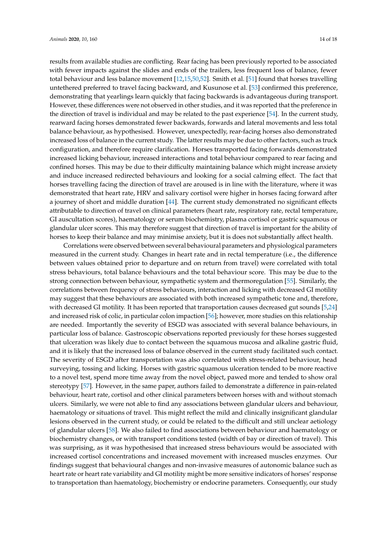results from available studies are conflicting. Rear facing has been previously reported to be associated with fewer impacts against the slides and ends of the trailers, less frequent loss of balance, fewer total behaviour and less balance movement [\[12](#page-15-6)[,15](#page-15-7)[,50](#page-17-6)[,52\]](#page-17-8). Smith et al. [\[51\]](#page-17-7) found that horses travelling untethered preferred to travel facing backward, and Kusunose et al. [\[53\]](#page-17-9) confirmed this preference, demonstrating that yearlings learn quickly that facing backwards is advantageous during transport. However, these differences were not observed in other studies, and it was reported that the preference in the direction of travel is individual and may be related to the past experience [\[54\]](#page-17-10). In the current study, rearward facing horses demonstrated fewer backwards, forwards and lateral movements and less total balance behaviour, as hypothesised. However, unexpectedly, rear-facing horses also demonstrated increased loss of balance in the current study. The latter results may be due to other factors, such as truck configuration, and therefore require clarification. Horses transported facing forwards demonstrated increased licking behaviour, increased interactions and total behaviour compared to rear facing and confined horses. This may be due to their difficulty maintaining balance which might increase anxiety and induce increased redirected behaviours and looking for a social calming effect. The fact that horses travelling facing the direction of travel are aroused is in line with the literature, where it was demonstrated that heart rate, HRV and salivary cortisol were higher in horses facing forward after a journey of short and middle duration [\[44\]](#page-17-11). The current study demonstrated no significant effects attributable to direction of travel on clinical parameters (heart rate, respiratory rate, rectal temperature, GI auscultation scores), haematology or serum biochemistry, plasma cortisol or gastric squamous or glandular ulcer scores. This may therefore suggest that direction of travel is important for the ability of horses to keep their balance and may minimise anxiety, but it is does not substantially affect health.

Correlations were observed between several behavioural parameters and physiological parameters measured in the current study. Changes in heart rate and in rectal temperature (i.e., the difference between values obtained prior to departure and on return from travel) were correlated with total stress behaviours, total balance behaviours and the total behaviour score. This may be due to the strong connection between behaviour, sympathetic system and thermoregulation [\[55\]](#page-17-12). Similarly, the correlations between frequency of stress behaviours, interaction and licking with decreased GI motility may suggest that these behaviours are associated with both increased sympathetic tone and, therefore, with decreased GI motility. It has been reported that transportation causes decreased gut sounds [\[5,](#page-15-11)[24\]](#page-16-4) and increased risk of colic, in particular colon impaction [\[56\]](#page-17-13); however, more studies on this relationship are needed. Importantly the severity of ESGD was associated with several balance behaviours, in particular loss of balance. Gastroscopic observations reported previously for these horses suggested that ulceration was likely due to contact between the squamous mucosa and alkaline gastric fluid, and it is likely that the increased loss of balance observed in the current study facilitated such contact. The severity of ESGD after transportation was also correlated with stress-related behaviour, head surveying, tossing and licking. Horses with gastric squamous ulceration tended to be more reactive to a novel test, spend more time away from the novel object, pawed more and tended to show oral stereotypy [\[57\]](#page-17-14). However, in the same paper, authors failed to demonstrate a difference in pain-related behaviour, heart rate, cortisol and other clinical parameters between horses with and without stomach ulcers. Similarly, we were not able to find any associations between glandular ulcers and behaviour, haematology or situations of travel. This might reflect the mild and clinically insignificant glandular lesions observed in the current study, or could be related to the difficult and still unclear aetiology of glandular ulcers [\[58\]](#page-17-15). We also failed to find associations between behaviour and haematology or biochemistry changes, or with transport conditions tested (width of bay or direction of travel). This was surprising, as it was hypothesised that increased stress behaviours would be associated with increased cortisol concentrations and increased movement with increased muscles enzymes. Our findings suggest that behavioural changes and non-invasive measures of autonomic balance such as heart rate or heart rate variability and GI motility might be more sensitive indicators of horses' response to transportation than haematology, biochemistry or endocrine parameters. Consequently, our study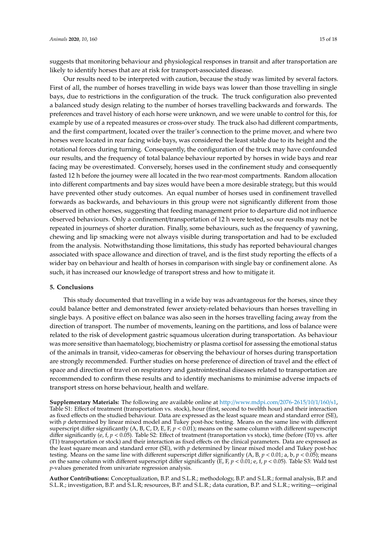suggests that monitoring behaviour and physiological responses in transit and after transportation are likely to identify horses that are at risk for transport-associated disease.

Our results need to be interpreted with caution, because the study was limited by several factors. First of all, the number of horses travelling in wide bays was lower than those travelling in single bays, due to restrictions in the configuration of the truck. The truck configuration also prevented a balanced study design relating to the number of horses travelling backwards and forwards. The preferences and travel history of each horse were unknown, and we were unable to control for this, for example by use of a repeated measures or cross-over study. The truck also had different compartments, and the first compartment, located over the trailer's connection to the prime mover, and where two horses were located in rear facing wide bays, was considered the least stable due to its height and the rotational forces during turning. Consequently, the configuration of the truck may have confounded our results, and the frequency of total balance behaviour reported by horses in wide bays and rear facing may be overestimated. Conversely, horses used in the confinement study and consequently fasted 12 h before the journey were all located in the two rear-most compartments. Random allocation into different compartments and bay sizes would have been a more desirable strategy, but this would have prevented other study outcomes. An equal number of horses used in confinement travelled forwards as backwards, and behaviours in this group were not significantly different from those observed in other horses, suggesting that feeding management prior to departure did not influence observed behaviours. Only a confinement/transportation of 12 h were tested, so our results may not be repeated in journeys of shorter duration. Finally, some behaviours, such as the frequency of yawning, chewing and lip smacking were not always visible during transportation and had to be excluded from the analysis. Notwithstanding those limitations, this study has reported behavioural changes associated with space allowance and direction of travel, and is the first study reporting the effects of a wider bay on behaviour and health of horses in comparison with single bay or confinement alone. As such, it has increased our knowledge of transport stress and how to mitigate it.

#### **5. Conclusions**

This study documented that travelling in a wide bay was advantageous for the horses, since they could balance better and demonstrated fewer anxiety-related behaviours than horses travelling in single bays. A positive effect on balance was also seen in the horses travelling facing away from the direction of transport. The number of movements, leaning on the partitions, and loss of balance were related to the risk of development gastric squamous ulceration during transportation. As behaviour was more sensitive than haematology, biochemistry or plasma cortisol for assessing the emotional status of the animals in transit, video-cameras for observing the behaviour of horses during transportation are strongly recommended. Further studies on horse preference of direction of travel and the effect of space and direction of travel on respiratory and gastrointestinal diseases related to transportation are recommended to confirm these results and to identify mechanisms to minimise adverse impacts of transport stress on horse behaviour, health and welfare.

**Supplementary Materials:** The following are available online at http://[www.mdpi.com](http://www.mdpi.com/2076-2615/10/1/160/s1)/2076-2615/10/1/160/s1, Table S1: Effect of treatment (transportation vs. stock), hour (first, second to twelfth hour) and their interaction as fixed effects on the studied behaviour. Data are expressed as the least square mean and standard error (SE), with *p* determined by linear mixed model and Tukey post-hoc testing. Means on the same line with different superscript differ significantly (A, B, C, D, E, F, *p* < 0.01); means on the same column with different superscript differ significantly (e, f, *p* < 0.05). Table S2: Effect of treatment (transportation vs stock), time (before (T0) vs. after (T1) transportation or stock) and their interaction as fixed effects on the clinical parameters. Data are expressed as the least square mean and standard error (SE), with *p* determined by linear mixed model and Tukey post-hoc testing. Means on the same line with different superscript differ significantly  $(A, B, p < 0.01; a, b, p < 0.05)$ ; means on the same column with different superscript differ significantly (E, F, *p* < 0.01; e, f, *p* < 0.05). Table S3: Wald test *p*-values generated from univariate regression analysis.

**Author Contributions:** Conceptualization, B.P. and S.L.R.; methodology, B.P. and S.L.R.; formal analysis, B.P. and S.L.R.; investigation, B.P. and S.L.R; resources, B.P. and S.L.R.; data curation, B.P. and S.L.R.; writing—original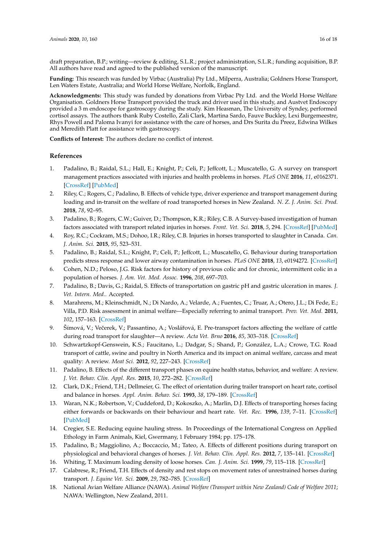draft preparation, B.P.; writing—review & editing, S.L.R.; project administration, S.L.R.; funding acquisition, B.P. All authors have read and agreed to the published version of the manuscript.

**Funding:** This research was funded by Virbac (Australia) Pty Ltd., Milperra, Australia; Goldners Horse Transport, Len Waters Estate, Australia; and World Horse Welfare, Norfolk, England.

**Acknowledgments:** This study was funded by donations from Virbac Pty Ltd. and the World Horse Welfare Organisation. Goldners Horse Transport provided the truck and driver used in this study, and Austvet Endoscopy provided a 3 m endoscope for gastroscopy during the study. Kim Heasman, The University of Syndey, performed cortisol assays. The authors thank Ruby Costello, Zali Clark, Martina Sardo, Fauve Buckley, Lexi Burgemeestre, Rhys Powell and Paloma Ivanyi for assistance with the care of horses, and Drs Surita du Preez, Edwina Wilkes and Meredith Platt for assistance with gastroscopy.

**Conflicts of Interest:** The authors declare no conflict of interest.

#### **References**

- <span id="page-15-0"></span>1. Padalino, B.; Raidal, S.L.; Hall, E.; Knight, P.; Celi, P.; Jeffcott, L.; Muscatello, G. A survey on transport management practices associated with injuries and health problems in horses. *PLoS ONE* **2016**, *11*, e0162371. [\[CrossRef\]](http://dx.doi.org/10.1371/journal.pone.0162371) [\[PubMed\]](http://www.ncbi.nlm.nih.gov/pubmed/27588689)
- 2. Riley, C.; Rogers, C.; Padalino, B. Effects of vehicle type, driver experience and transport management during loading and in-transit on the welfare of road transported horses in New Zealand. *N. Z. J. Anim. Sci. Prod.* **2018**, *78*, 92–95.
- 3. Padalino, B.; Rogers, C.W.; Guiver, D.; Thompson, K.R.; Riley, C.B. A Survey-based investigation of human factors associated with transport related injuries in horses. *Front. Vet. Sci.* **2018**, *5*, 294. [\[CrossRef\]](http://dx.doi.org/10.3389/fvets.2018.00294) [\[PubMed\]](http://www.ncbi.nlm.nih.gov/pubmed/30525050)
- 4. Roy, R.C.; Cockram, M.S.; Dohoo, I.R.; Riley, C.B. Injuries in horses transported to slaughter in Canada. *Can. J. Anim. Sci.* **2015**, *95*, 523–531.
- <span id="page-15-11"></span>5. Padalino, B.; Raidal, S.L.; Knight, P.; Celi, P.; Jeffcott, L.; Muscatello, G. Behaviour during transportation predicts stress response and lower airway contamination in horses. *PLoS ONE* **2018**, *13*, e0194272. [\[CrossRef\]](http://dx.doi.org/10.1371/journal.pone.0194272)
- <span id="page-15-1"></span>6. Cohen, N.D.; Peloso, J.G. Risk factors for history of previous colic and for chronic, intermittent colic in a population of horses. *J. Am. Vet. Med. Assoc.* **1996**, *208*, 697–703.
- <span id="page-15-2"></span>7. Padalino, B.; Davis, G.; Raidal, S. Effects of transportation on gastric pH and gastric ulceration in mares. *J. Vet. Intern. Med.*. Accepted.
- <span id="page-15-3"></span>8. Marahrens, M.; Kleinschmidt, N.; Di Nardo, A.; Velarde, A.; Fuentes, C.; Truar, A.; Otero, J.L.; Di Fede, E.; Villa, P.D. Risk assessment in animal welfare—Especially referring to animal transport. *Prev. Vet. Med.* **2011**, *102*, 157–163. [\[CrossRef\]](http://dx.doi.org/10.1016/j.prevetmed.2011.04.010)
- 9. Šímová, V.; Večerek, V.; Passantino, A.; Voslářová, E. Pre-transport factors affecting the welfare of cattle during road transport for slaughter—A review. *Acta Vet. Brno* **2016**, *85*, 303–318. [\[CrossRef\]](http://dx.doi.org/10.2754/avb201685030303)
- <span id="page-15-4"></span>10. Schwartzkopf-Genswein, K.S.; Faucitano, L.; Dadgar, S.; Shand, P.; González, L.A.; Crowe, T.G. Road transport of cattle, swine and poultry in North America and its impact on animal welfare, carcass and meat quality: A review. *Meat Sci.* **2012**, *92*, 227–243. [\[CrossRef\]](http://dx.doi.org/10.1016/j.meatsci.2012.04.010)
- <span id="page-15-5"></span>11. Padalino, B. Effects of the different transport phases on equine health status, behavior, and welfare: A review. *J. Vet. Behav. Clin. Appl. Res.* **2015**, *10*, 272–282. [\[CrossRef\]](http://dx.doi.org/10.1016/j.jveb.2015.02.002)
- <span id="page-15-6"></span>12. Clark, D.K.; Friend, T.H.; Dellmeier, G. The effect of orientation during trailer transport on heart rate, cortisol and balance in horses. *Appl. Anim. Behav. Sci.* **1993**, *38*, 179–189. [\[CrossRef\]](http://dx.doi.org/10.1016/0168-1591(93)90018-K)
- 13. Waran, N.K.; Robertson, V.; Cuddeford, D.; Kokoszko, A.; Marlin, D.J. Effects of transporting horses facing either forwards or backwards on their behaviour and heart rate. *Vet. Rec.* **1996**, *139*, 7–11. [\[CrossRef\]](http://dx.doi.org/10.1136/vr.139.1.7) [\[PubMed\]](http://www.ncbi.nlm.nih.gov/pubmed/8966985)
- 14. Cregier, S.E. Reducing equine hauling stress. In Proceedings of the International Congress on Applied Ethology in Farm Animals, Kiel, Gwermany, 1 February 1984; pp. 175–178.
- <span id="page-15-7"></span>15. Padalino, B.; Maggiolino, A.; Boccaccio, M.; Tateo, A. Effects of different positions during transport on physiological and behavioral changes of horses. *J. Vet. Behav. Clin. Appl. Res.* **2012**, *7*, 135–141. [\[CrossRef\]](http://dx.doi.org/10.1016/j.jveb.2011.09.003)
- <span id="page-15-8"></span>16. Whiting, T. Maximum loading density of loose horses. *Can. J. Anim. Sci.* **1999**, *79*, 115–118. [\[CrossRef\]](http://dx.doi.org/10.4141/A98-078)
- <span id="page-15-9"></span>17. Calabrese, R.; Friend, T.H. Effects of density and rest stops on movement rates of unrestrained horses during transport. *J. Equine Vet. Sci.* **2009**, *29*, 782–785. [\[CrossRef\]](http://dx.doi.org/10.1016/j.jevs.2009.10.005)
- <span id="page-15-10"></span>18. National Avian Welfare Alliance (NAWA). *Animal Welfare (Transport within New Zealand) Code of Welfare 2011*; NAWA: Wellington, New Zealand, 2011.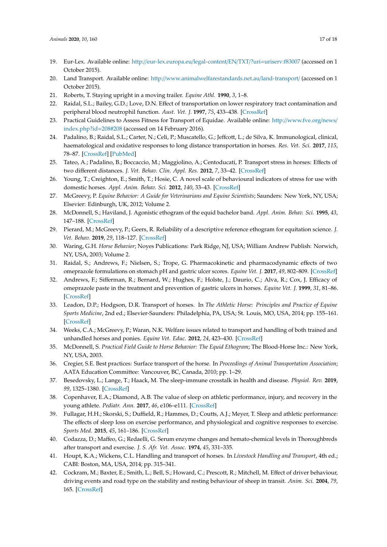- <span id="page-16-23"></span>19. Eur-Lex. Available online: http://[eur-lex.europa.eu](http://eur-lex.europa.eu/legal-content/EN/TXT/?uri=uriserv:f83007)/legal-content/EN/TXT/?uri=uriserv:f83007 (accessed on 1 October 2015).
- <span id="page-16-0"></span>20. Land Transport. Available online: http://[www.animalwelfarestandards.net.au](http://www.animalwelfarestandards.net.au/land-transport/)/land-transport/ (accessed on 1 October 2015).
- <span id="page-16-1"></span>21. Roberts, T. Staying upright in a moving trailer. *Equine Athl.* **1990**, *3*, 1–8.
- <span id="page-16-2"></span>22. Raidal, S.L.; Bailey, G.D.; Love, D.N. Effect of transportation on lower respiratory tract contamination and peripheral blood neutrophil function. *Aust. Vet. J.* **1997**, *75*, 433–438. [\[CrossRef\]](http://dx.doi.org/10.1111/j.1751-0813.1997.tb14349.x)
- <span id="page-16-3"></span>23. Practical Guidelines to Assess Fitness for Transport of Equidae. Available online: http://[www.fve.org](http://www.fve.org/news/index.php?id=208#208)/news/ [index.php?id](http://www.fve.org/news/index.php?id=208#208)=208#208 (accessed on 14 February 2016).
- <span id="page-16-4"></span>24. Padalino, B.; Raidal, S.L.; Carter, N.; Celi, P.; Muscatello, G.; Jeffcott, L.; de Silva, K. Immunological, clinical, haematological and oxidative responses to long distance transportation in horses. *Res. Vet. Sci.* **2017**, *115*, 78–87. [\[CrossRef\]](http://dx.doi.org/10.1016/j.rvsc.2017.01.024) [\[PubMed\]](http://www.ncbi.nlm.nih.gov/pubmed/28160731)
- <span id="page-16-5"></span>25. Tateo, A.; Padalino, B.; Boccaccio, M.; Maggiolino, A.; Centoducati, P. Transport stress in horses: Effects of two different distances. *J. Vet. Behav. Clin. Appl. Res.* **2012**, *7*, 33–42. [\[CrossRef\]](http://dx.doi.org/10.1016/j.jveb.2011.04.007)
- <span id="page-16-6"></span>26. Young, T.; Creighton, E.; Smith, T.; Hosie, C. A novel scale of behavioural indicators of stress for use with domestic horses. *Appl. Anim. Behav. Sci.* **2012**, *140*, 33–43. [\[CrossRef\]](http://dx.doi.org/10.1016/j.applanim.2012.05.008)
- <span id="page-16-7"></span>27. McGreevy, P. *Equine Behavior: A Guide for Veterinarians and Equine Scientists; Saunders: New York, NY*, USA; Elsevier: Edinburgh, UK, 2012; Volume 2.
- <span id="page-16-8"></span>28. McDonnell, S.; Haviland, J. Agonistic ethogram of the equid bachelor band. *Appl. Anim. Behav. Sci.* **1995**, *43*, 147–188. [\[CrossRef\]](http://dx.doi.org/10.1016/0168-1591(94)00550-X)
- <span id="page-16-9"></span>29. Pierard, M.; McGreevy, P.; Geers, R. Reliability of a descriptive reference ethogram for equitation science. *J. Vet. Behav.* **2019**, *29*, 118–127. [\[CrossRef\]](http://dx.doi.org/10.1016/j.jveb.2018.10.001)
- <span id="page-16-10"></span>30. Waring, G.H. *Horse Behavior*; Noyes Publications: Park Ridge, NJ, USA; William Andrew Publish: Norwich, NY, USA, 2003; Volume 2.
- <span id="page-16-11"></span>31. Raidal, S.; Andrews, F.; Nielsen, S.; Trope, G. Pharmacokinetic and pharmacodynamic effects of two omeprazole formulations on stomach pH and gastric ulcer scores. *Equine Vet. J.* **2017**, *49*, 802–809. [\[CrossRef\]](http://dx.doi.org/10.1111/evj.12691)
- <span id="page-16-12"></span>32. Andrews, F.; Sifferman, R.; Bernard, W.; Hughes, F.; Holste, J.; Daurio, C.; Alva, R.; Cox, J. Efficacy of omeprazole paste in the treatment and prevention of gastric ulcers in horses. *Equine Vet. J.* **1999**, *31*, 81–86. [\[CrossRef\]](http://dx.doi.org/10.1111/j.2042-3306.1999.tb05176.x)
- <span id="page-16-13"></span>33. Leadon, D.P.; Hodgson, D.R. Transport of horses. In *The Athletic Horse: Principles and Practice of Equine Sports Medicine*, 2nd ed.; Elsevier-Saunders: Philadelphia, PA, USA; St. Louis, MO, USA, 2014; pp. 155–161. [\[CrossRef\]](http://dx.doi.org/10.1016/B978-0-7216-0075-8.00019-8)
- <span id="page-16-14"></span>34. Weeks, C.A.; McGreevy, P.; Waran, N.K. Welfare issues related to transport and handling of both trained and unhandled horses and ponies. *Equine Vet. Educ.* **2012**, *24*, 423–430. [\[CrossRef\]](http://dx.doi.org/10.1111/j.2042-3292.2011.00293.x)
- <span id="page-16-15"></span>35. McDonnell, S. *Practical Field Guide to Horse Behavior: The Equid Ethogram*; The Blood-Horse Inc.: New York, NY, USA, 2003.
- <span id="page-16-16"></span>36. Cregier, S.E. Best practices: Surface transport of the horse. In *Proceedings of Animal Transportation Association*; AATA Education Committee: Vancouver, BC, Canada, 2010; pp. 1–29.
- <span id="page-16-17"></span>37. Besedovsky, L.; Lange, T.; Haack, M. The sleep-immune crosstalk in health and disease. *Physiol. Rev.* **2019**, *99*, 1325–1380. [\[CrossRef\]](http://dx.doi.org/10.1152/physrev.00010.2018)
- <span id="page-16-18"></span>38. Copenhaver, E.A.; Diamond, A.B. The value of sleep on athletic performance, injury, and recovery in the young athlete. *Pediatr. Ann.* **2017**, *46*, e106–e111. [\[CrossRef\]](http://dx.doi.org/10.3928/19382359-20170221-01)
- <span id="page-16-19"></span>39. Fullagar, H.H.; Skorski, S.; Duffield, R.; Hammes, D.; Coutts, A.J.; Meyer, T. Sleep and athletic performance: The effects of sleep loss on exercise performance, and physiological and cognitive responses to exercise. *Sports Med.* **2015**, *45*, 161–186. [\[CrossRef\]](http://dx.doi.org/10.1007/s40279-014-0260-0)
- <span id="page-16-20"></span>40. Codazza, D.; Maffeo, G.; Redaelli, G. Serum enzyme changes and hemato-chemical levels in Thoroughbreds after transport and exercise. *J. S. Afr. Vet. Assoc.* **1974**, *45*, 331–335.
- <span id="page-16-21"></span>41. Houpt, K.A.; Wickens, C.L. Handling and transport of horses. In *Livestock Handling and Transport*, 4th ed.; CABI: Boston, MA, USA, 2014; pp. 315–341.
- <span id="page-16-22"></span>42. Cockram, M.; Baxter, E.; Smith, L.; Bell, S.; Howard, C.; Prescott, R.; Mitchell, M. Effect of driver behaviour, driving events and road type on the stability and resting behaviour of sheep in transit. *Anim. Sci.* **2004**, *79*, 165. [\[CrossRef\]](http://dx.doi.org/10.1017/S1357729800054631)